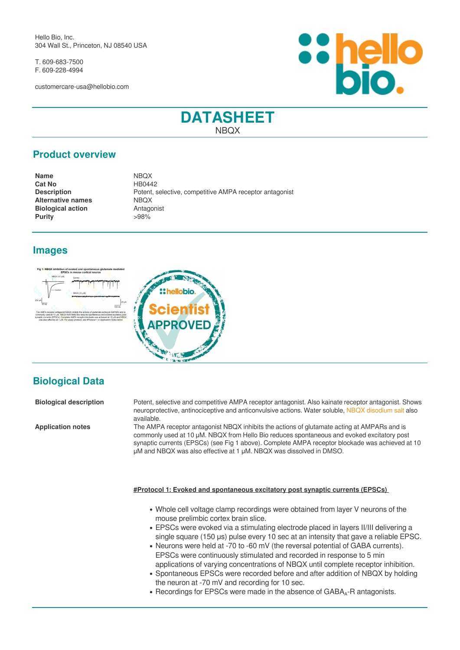Hello Bio, Inc. 304 Wall St., Princeton, NJ 08540 USA

T. 609-683-7500 F. 609-228-4994

customercare-usa@hellobio.com



## **DATASHEET NBOX**

#### **Product overview**

**Name** NBQX **Cat No** HB0442 **Alternative names** NBOX **Biological action** Antagonist **Purity**  $>98\%$ 

**Description** Potent, selective, competitive AMPA receptor antagonist

## **Images**





# **Biological Data**

**Biological description** Potent, selective and competitive AMPA receptor antagonist. Also kainate receptor antagonist. Shows neuroprotective, antinociceptive and anticonvulsive actions. Water soluble, [NBQX disodium salt](https://hellobio.com/nbqx-disodium-salt.html) also available.

**Application notes** The AMPA receptor antagonist NBQX inhibits the actions of glutamate acting at AMPARs and is commonly used at 10 μM. NBQX from Hello Bio reduces spontaneous and evoked excitatory post synaptic currents (EPSCs) (see Fig 1 above). Complete AMPA receptor blockade was achieved at 10 μM and NBQX was also effective at 1 μM. NBQX was dissolved in DMSO.

#### **#Protocol 1: Evoked and spontaneous excitatory post synaptic currents (EPSCs)**

- Whole cell voltage clamp recordings were obtained from layer V neurons of the mouse prelimbic cortex brain slice.
- EPSCs were evoked via a stimulating electrode placed in layers II/III delivering a single square (150 µs) pulse every 10 sec at an intensity that gave a reliable EPSC.
- Neurons were held at -70 to -60 mV (the reversal potential of GABA currents). EPSCs were continuously stimulated and recorded in response to 5 min applications of varying concentrations of NBQX until complete receptor inhibition.
- Spontaneous EPSCs were recorded before and after addition of NBQX by holding  $\bullet$ the neuron at -70 mV and recording for 10 sec.
- Recordings for EPSCs were made in the absence of GABA<sub>A</sub>-R antagonists.